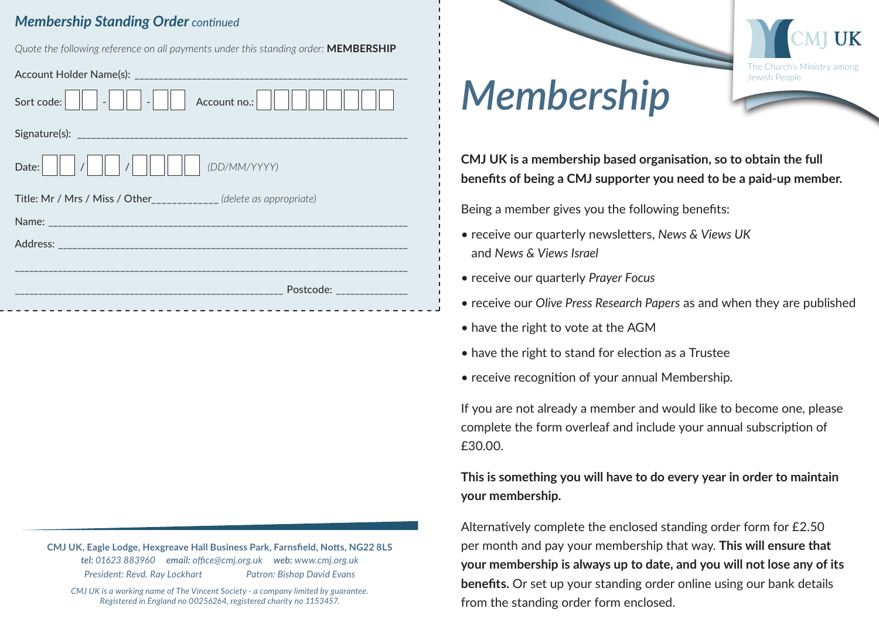## **Membership Standing Order continued**

Ouote the following reference on all payments under this standing order: MEMBERSHIP

| Account no.: $\ \ $<br>Sort code: $\ \ $<br>$\sim$ 1 $\sim$ 11 $\sim$ |
|-----------------------------------------------------------------------|
|                                                                       |
| (DD/MM/YYYY)<br>Date:                                                 |
| Title: Mr / Mrs / Miss / Other___________ (delete as appropriate)     |
|                                                                       |
|                                                                       |
|                                                                       |
|                                                                       |
| Postcode: _______________                                             |

CMJ UK, Eagle Lodge, Hexgreave Hall Business Park, Farnsfield, Notts, NG22 8LS tel: 01623 883960 email: office@cmj.org.uk web: www.cmj.org.uk President: Revd. Ray Lockhart Patron: Bishop David Evans

CMJ UK is a working name of The Vincent Society - a company limited by guarantee. Registered in England no 00256264, registered charity no 1153457.



## **Membership**

CMJ UK is a membership based organisation, so to obtain the full benefits of being a CMJ supporter you need to be a paid-up member.

Being a member gives you the following benefits:

- receive our quarterly newsletters, News & Views UK and News & Views Israel
- receive our quarterly Prayer Focus
- receive our Olive Press Research Papers as and when they are published
- have the right to vote at the AGM
- have the right to stand for election as a Trustee
- receive recognition of your annual Membership.

If you are not already a member and would like to become one, please complete the form overleaf and include your annual subscription of  $f3000$ 

This is something you will have to do every year in order to maintain your membership.

Alternatively complete the enclosed standing order form for £2.50 per month and pay your membership that way. This will ensure that your membership is always up to date, and you will not lose any of its **benefits.** Or set up your standing order online using our bank details from the standing order form enclosed.